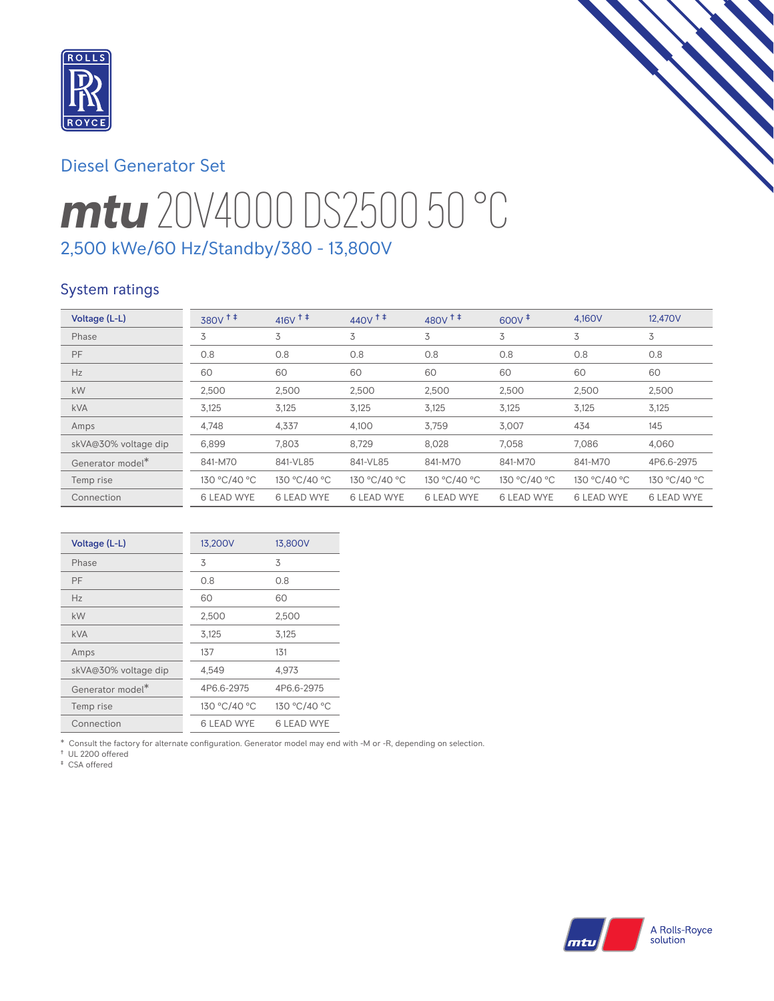

## Diesel Generator Set

# *mtu* 20V4000 DS2500 50 °C 2,500 kWe/60 Hz/Standby/380 - 13,800V

## System ratings

| Voltage (L-L)                | $380V$ <sup>++</sup> | 416 $V$ <sup>+ +</sup> | 440 $V$ <sup><math>\ddagger</math></sup> $\ddagger$ | $480V$ <sup>++</sup> | $600V^{\ddagger}$ | 4.160V            | 12.470V           |
|------------------------------|----------------------|------------------------|-----------------------------------------------------|----------------------|-------------------|-------------------|-------------------|
| Phase                        | 3                    | 3                      | 3                                                   | 3                    | 3                 | 3                 | 3                 |
| PF                           | 0.8                  | 0.8                    | 0.8                                                 | 0.8                  | 0.8               | 0.8               | 0.8               |
| Hz                           | 60                   | 60                     | 60                                                  | 60                   | 60                | 60                | 60                |
| kW                           | 2,500                | 2,500                  | 2,500                                               | 2,500                | 2,500             | 2,500             | 2,500             |
| <b>kVA</b>                   | 3,125                | 3,125                  | 3,125                                               | 3,125                | 3,125             | 3,125             | 3,125             |
| Amps                         | 4,748                | 4,337                  | 4,100                                               | 3,759                | 3.007             | 434               | 145               |
| skVA@30% voltage dip         | 6,899                | 7.803                  | 8,729                                               | 8,028                | 7.058             | 7.086             | 4,060             |
| Generator model <sup>*</sup> | 841-M70              | 841-VL85               | 841-VL85                                            | 841-M70              | 841-M70           | 841-M70           | 4P6.6-2975        |
| Temp rise                    | 130 °C/40 °C         | 130 °C/40 °C           | 130 °C/40 °C                                        | 130 °C/40 °C         | 130 °C/40 °C      | 130 °C/40 °C      | 130 °C/40 °C      |
| Connection                   | <b>6 LEAD WYE</b>    | <b>6 LEAD WYE</b>      | <b>6 LEAD WYE</b>                                   | <b>6 LEAD WYE</b>    | <b>6 LEAD WYE</b> | <b>6 LEAD WYE</b> | <b>6 LEAD WYE</b> |

| Voltage (L-L)        | 13,200V           | 13,800V           |
|----------------------|-------------------|-------------------|
| Phase                | 3                 | 3                 |
| PF                   | 0.8               | 0.8               |
| Hz                   | 60                | 60                |
| kW                   | 2,500             | 2,500             |
| <b>kVA</b>           | 3,125             | 3,125             |
| Amps                 | 137               | 131               |
| skVA@30% voltage dip | 4,549             | 4.973             |
| Generator model*     | 4P6.6-2975        | 4P6.6-2975        |
| Temp rise            | 130 °C/40 °C      | 130 °C/40 °C      |
| Connection           | <b>6 LEAD WYE</b> | <b>6 LEAD WYE</b> |

\* Consult the factory for alternate configuration. Generator model may end with -M or -R, depending on selection.

† UL 2200 offered

‡ CSA offered

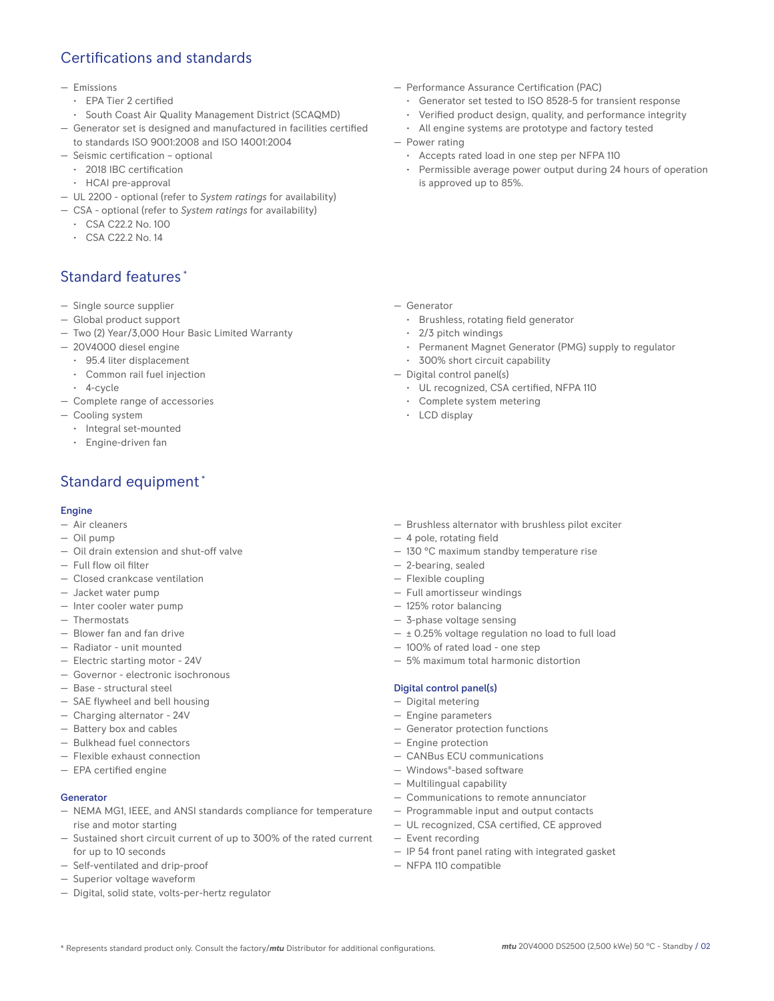## Certifications and standards

#### — Emissions

- EPA Tier 2 certified
- South Coast Air Quality Management District (SCAQMD)
- Generator set is designed and manufactured in facilities certified to standards ISO 9001:2008 and ISO 14001:2004
- Seismic certification optional
	- 2018 IBC certification
	- HCAI pre-approval
- UL 2200 optional (refer to *System ratings* for availability)
- CSA optional (refer to *System ratings* for availability)
	- CSA C22.2 No. 100
	- CSA C22.2 No. 14

## Standard features \*

- Single source supplier
- Global product support
- Two (2) Year/3,000 Hour Basic Limited Warranty
- 20V4000 diesel engine
	- 95.4 liter displacement
	- Common rail fuel injection
	- 4-cycle
- Complete range of accessories
- Cooling system
	- Integral set-mounted
	- Engine-driven fan

## Standard equipment \*

#### Engine

- Air cleaners
- Oil pump
- Oil drain extension and shut-off valve
- Full flow oil filter
- Closed crankcase ventilation
- Jacket water pump
- Inter cooler water pump
- Thermostats
- Blower fan and fan drive
- Radiator unit mounted
- Electric starting motor 24V
- Governor electronic isochronous
- Base structural steel
- SAE flywheel and bell housing
- Charging alternator 24V
- Battery box and cables
- Bulkhead fuel connectors
- Flexible exhaust connection
- EPA certified engine

#### Generator

- NEMA MG1, IEEE, and ANSI standards compliance for temperature rise and motor starting
- Sustained short circuit current of up to 300% of the rated current for up to 10 seconds
- Self-ventilated and drip-proof
- Superior voltage waveform
- Digital, solid state, volts-per-hertz regulator
- Performance Assurance Certification (PAC)
	- Generator set tested to ISO 8528-5 for transient response
	- Verified product design, quality, and performance integrity
	- All engine systems are prototype and factory tested
- Power rating
	- Accepts rated load in one step per NFPA 110
	- Permissible average power output during 24 hours of operation is approved up to 85%.

- Generator
	- Brushless, rotating field generator
	- 2/3 pitch windings
	- Permanent Magnet Generator (PMG) supply to regulator
	- 300% short circuit capability
- Digital control panel(s)
	- UL recognized, CSA certified, NFPA 110
	- Complete system metering
	- LCD display
- Brushless alternator with brushless pilot exciter
- 4 pole, rotating field
- 130 °C maximum standby temperature rise
- 2-bearing, sealed
- Flexible coupling
- Full amortisseur windings
- 125% rotor balancing
- 3-phase voltage sensing
- $\pm$  0.25% voltage regulation no load to full load
- 100% of rated load one step
- 5% maximum total harmonic distortion

#### Digital control panel(s)

- Digital metering
- Engine parameters
- Generator protection functions
- Engine protection
- CANBus ECU communications
- Windows®-based software
- Multilingual capability
- Communications to remote annunciator
- Programmable input and output contacts
- UL recognized, CSA certified, CE approved
- Event recording
- IP 54 front panel rating with integrated gasket
- NFPA 110 compatible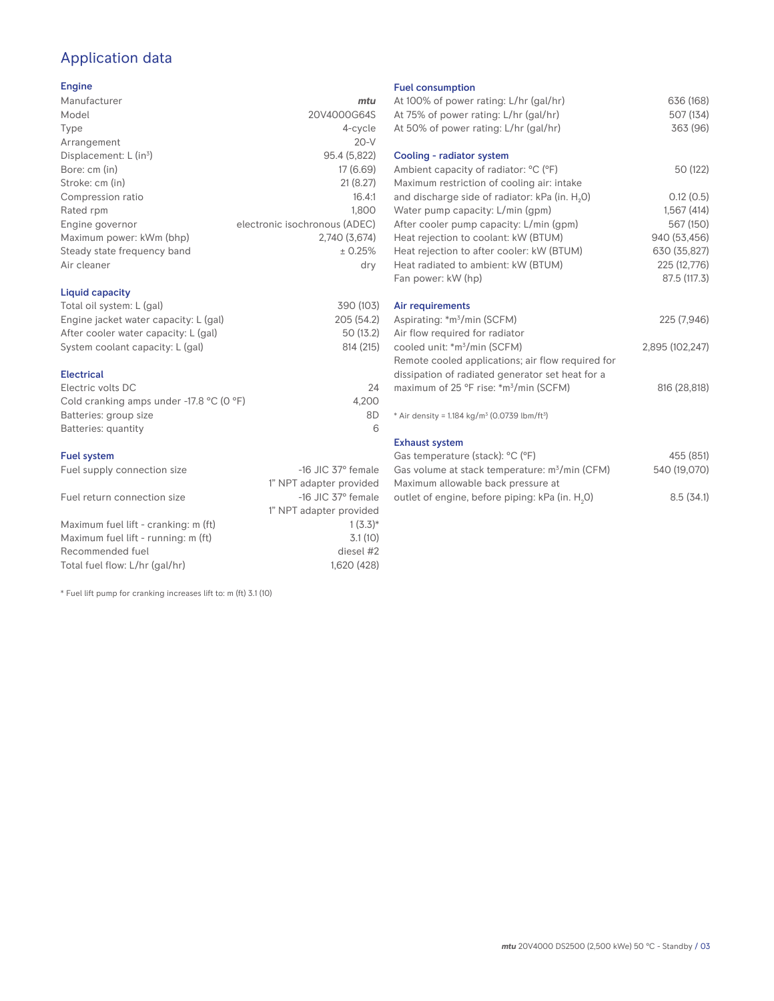## Application data

#### Engine

| Manufacturer                         | mtu                           |
|--------------------------------------|-------------------------------|
| Model                                | 20V4000G64S                   |
| Type                                 | 4-cycle                       |
| Arrangement                          | $20-V$                        |
| Displacement: $L$ (in <sup>3</sup> ) | 95.4 (5,822)                  |
| Bore: cm (in)                        | 17 (6.69)                     |
| Stroke: cm (in)                      | 21(8.27)                      |
| Compression ratio                    | 16.4:1                        |
| Rated rpm                            | 1.800                         |
| Engine governor                      | electronic isochronous (ADEC) |
| Maximum power: kWm (bhp)             | 2.740 (3.674)                 |
| Steady state frequency band          | ± 0.25%                       |
| Air cleaner                          | dry                           |
|                                      |                               |

#### Liquid capacity

| Total oil system: L (gal)             | 390 (103)  |
|---------------------------------------|------------|
| Engine jacket water capacity: L (gal) | 205 (54.2) |
| After cooler water capacity: L (gal)  | 50 (13.2)  |
| System coolant capacity: L (gal)      | 814 (215)  |
|                                       |            |

#### Electrical

| Electric volts DC                                            | 24    |
|--------------------------------------------------------------|-------|
| Cold cranking amps under -17.8 $^{\circ}$ C (O $^{\circ}$ F) | 4.200 |
| Batteries: group size                                        | 8D    |
| Batteries: quantity                                          |       |

#### Fuel system

| Fuel supply connection size          | $-16$ JIC 37 $\degree$ female |
|--------------------------------------|-------------------------------|
|                                      | 1" NPT adapter provided       |
| Fuel return connection size          | $-16$ JIC 37 $\degree$ female |
|                                      | 1" NPT adapter provided       |
| Maximum fuel lift - cranking: m (ft) | $1(3.3)*$                     |
| Maximum fuel lift - running: m (ft)  | 3.1(10)                       |
| Recommended fuel                     | diesel #2                     |
| Total fuel flow: L/hr (gal/hr)       | 1.620 (428)                   |
|                                      |                               |

\* Fuel lift pump for cranking increases lift to: m (ft) 3.1 (10)

#### Fuel consumption

| At 100% of power rating: L/hr (gal/hr)<br>At 75% of power rating: L/hr (gal/hr)     | 636 (168)<br>507 (134) |
|-------------------------------------------------------------------------------------|------------------------|
| At 50% of power rating: L/hr (gal/hr)                                               | 363 (96)               |
| Cooling - radiator system                                                           |                        |
| Ambient capacity of radiator: °C (°F)<br>Maximum restriction of cooling air: intake | 50 (122)               |
| and discharge side of radiator: kPa (in. H <sub>2</sub> 0)                          | 0.12(0.5)              |
| Water pump capacity: L/min (gpm)                                                    | 1,567(414)             |
| After cooler pump capacity: L/min (gpm)                                             | 567 (150)              |
| Heat rejection to coolant: kW (BTUM)                                                | 940 (53,456)           |
| Heat rejection to after cooler: kW (BTUM)                                           | 630 (35,827)           |
| Heat radiated to ambient: kW (BTUM)                                                 | 225 (12,776)           |
| Fan power: kW (hp)                                                                  | 87.5 (117.3)           |
| Air requirements                                                                    |                        |
| Aspirating: *m <sup>3</sup> /min (SCFM)                                             | 225 (7,946)            |
| Air flow required for radiator                                                      |                        |
| cooled unit: *m <sup>3</sup> /min (SCFM)                                            | 2,895 (102,247)        |
| Remote cooled applications; air flow required for                                   |                        |
| dissipation of radiated generator set heat for a                                    |                        |
| maximum of 25 °F rise: *m <sup>3</sup> /min (SCFM)                                  | 816 (28,818)           |
| * Air density = 1.184 kg/m <sup>3</sup> (0.0739 lbm/ft <sup>3</sup> )               |                        |
| <b>Exhaust system</b>                                                               |                        |
| Gas temperature (stack): °C (°F)                                                    | 455 (851)              |
| Gas volume at stack temperature: m <sup>3</sup> /min (CFM)                          | 540 (19.070)           |

| Uas vuluntu al slaun lungualuru. III / IIIIII (UI IVI) | U I U IU, U I UHU |
|--------------------------------------------------------|-------------------|
| Maximum allowable back pressure at                     |                   |
| outlet of engine, before piping: kPa (in. H.O)         | 8.5(34.1)         |